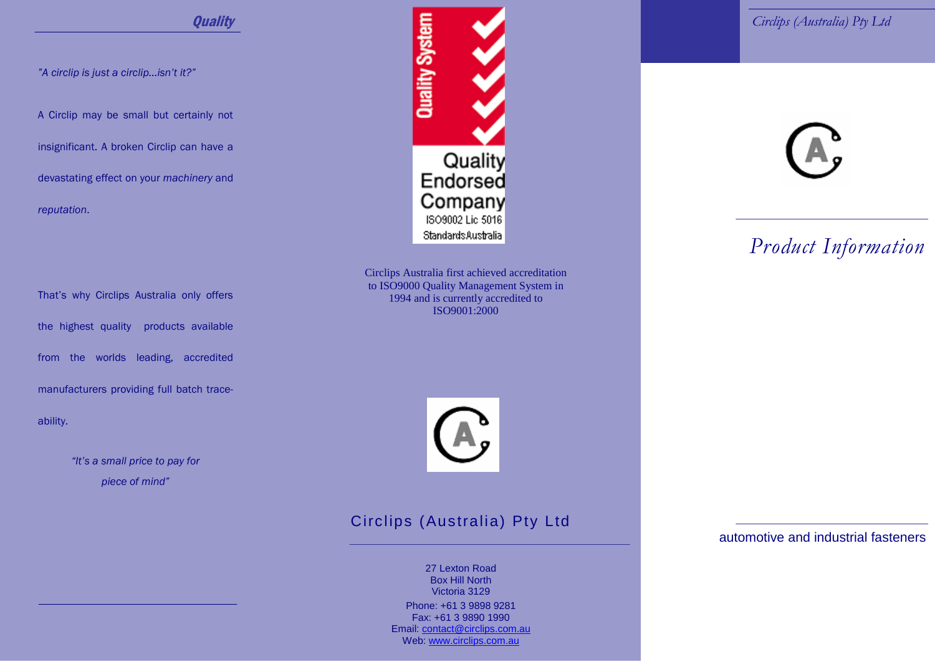*îA circlip is just a circlip...isnít it?î*

A Circlip may be small but certainly not

insignificant. A broken Circlip can have a devastating effect on your *machinery* and *reputation*.

That's why Circlips Australia only offers the highest quality products available from the worlds leading, accredited manufacturers providing full batch trace ability.

> *ìItís a small price to pay for piece of mindî*



Circlips Australia first achieved accreditation to ISO9000 Quality Management System in 1994 and is currently accredited to ISO9001:2000



### Circlips (Australia) Pty Ltd

27 Lexton Road Box Hill North Victoria 3129

Phone: +61 3 9898 9281 Fax: +61 3 9890 1990 Email: [contact@circlips.com.au](mailto:contact@circlips.com.au) Web: [www.circlips.com.au](http://www.circlips.com.au)



## *Product Information*

automotive and industrial fasteners